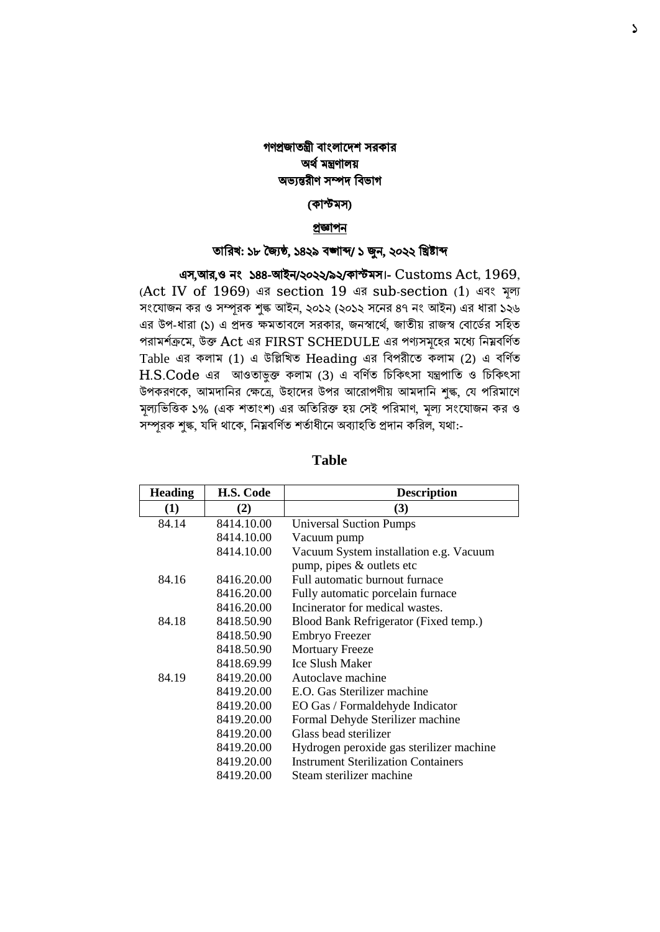# গণপ্রজাতন্ত্রী বাংলাদেশ সরকার অর্ থমন্ত্রণালয় অভ্যন্তরীণ সম্পে ববভ্াগ

### (কাস্টমস)

#### প্রজ্ঞাপন

#### তাবরখ: ১৮ জ্যৈষ্ঠ, ১৪২৯ বঙ্গাব্দ/ ১ জুন, ২০২২ বিষ্টাব্দ

এস,আর,ও নং ১৪৪-আইন/২০২২/৯২/কাস্টমস।- Customs Act, 1969, (Act IV of 1969) এর section 19 এর sub-section (1) এবাং মূল্য সংযোজন কর ও সম্পূরক শুল্ক আইন, ২০১২ (২০১২ সনের ৪৭ নং আইন) এর ধারা ১২৬ এর উপ-ধারা (১) এ প্রদত্ত ক্ষমতাবলে সরকার, জনস্বার্থে, জাতীয় রাজস্ব বোর্ডের সহিত পরামর্শক্রমে, উক্ত Act এর FIRST SCHEDULE এর পণ্যসমূহের মধ্যে নিম্নবর্ণিত Table এর কলাম (1) এ উল্লিখিত Heading এর বিপরীতে কলাম (2) এ বর্ণিত  $H.S.Code$  এর আওতাভুক্ত কলাম (3) এ বর্ণিত চিকিৎসা যন্ত্রপাতি ও চিকিৎসা উপকরণকে, আমদানির ক্ষেত্রে, উহাদের উপর আরোপণীয় আমদানি শুল্ক, যে পরিমাণে মল্যভিত্তিক ১% (এক শতাংশ) এর অতিরিক্ত হয় সেই পরিমাণ, মল্য সংযোজন কর ও সম্পূরক শুল্ক, যদি থাকে, নিম্নবর্ণিত শর্তাধীনে অব্যাহতি প্রদান করিল, যথা:-

| <b>Heading</b> | <b>H.S. Code</b> | <b>Description</b>                         |  |  |  |
|----------------|------------------|--------------------------------------------|--|--|--|
| (1)            | (2)              | (3)                                        |  |  |  |
| 84.14          | 8414.10.00       | <b>Universal Suction Pumps</b>             |  |  |  |
|                | 8414.10.00       | Vacuum pump                                |  |  |  |
|                | 8414.10.00       | Vacuum System installation e.g. Vacuum     |  |  |  |
|                |                  | pump, pipes & outlets etc                  |  |  |  |
| 84.16          | 8416.20.00       | Full automatic burnout furnace             |  |  |  |
|                | 8416.20.00       | Fully automatic porcelain furnace          |  |  |  |
|                | 8416.20.00       | Incinerator for medical wastes.            |  |  |  |
| 84.18          | 8418.50.90       | Blood Bank Refrigerator (Fixed temp.)      |  |  |  |
|                | 8418.50.90       | Embryo Freezer                             |  |  |  |
|                | 8418.50.90       | <b>Mortuary Freeze</b>                     |  |  |  |
|                | 8418.69.99       | <b>Ice Slush Maker</b>                     |  |  |  |
| 84.19          | 8419.20.00       | Autoclave machine                          |  |  |  |
|                | 8419.20.00       | E.O. Gas Sterilizer machine                |  |  |  |
|                | 8419.20.00       | EO Gas / Formaldehyde Indicator            |  |  |  |
|                | 8419.20.00       | Formal Dehyde Sterilizer machine           |  |  |  |
|                | 8419.20.00       | Glass bead sterilizer                      |  |  |  |
|                | 8419.20.00       | Hydrogen peroxide gas sterilizer machine   |  |  |  |
|                | 8419.20.00       | <b>Instrument Sterilization Containers</b> |  |  |  |
|                | 8419.20.00       | Steam sterilizer machine                   |  |  |  |

### **Table**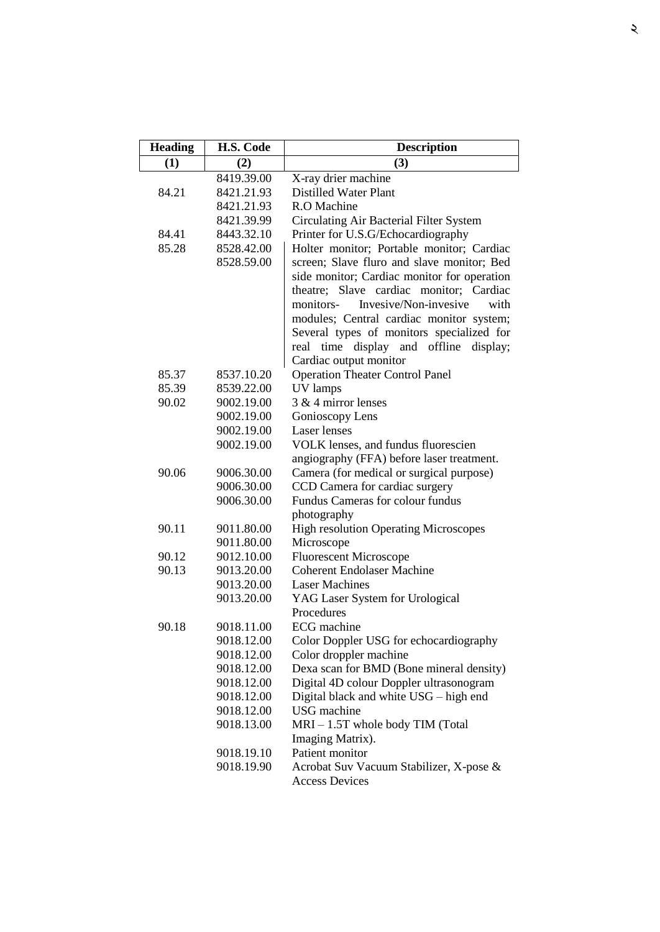| <b>Heading</b> | H.S. Code                | <b>Description</b>                                                                  |  |  |
|----------------|--------------------------|-------------------------------------------------------------------------------------|--|--|
| (1)            | (2)                      | (3)                                                                                 |  |  |
|                | 8419.39.00               | X-ray drier machine                                                                 |  |  |
| 84.21          | 8421.21.93               | <b>Distilled Water Plant</b>                                                        |  |  |
|                | 8421.21.93               | R.O Machine                                                                         |  |  |
|                | 8421.39.99               | Circulating Air Bacterial Filter System                                             |  |  |
| 84.41          | 8443.32.10               | Printer for U.S.G/Echocardiography                                                  |  |  |
| 85.28          | 8528.42.00               | Holter monitor; Portable monitor; Cardiac                                           |  |  |
|                | 8528.59.00               | screen; Slave fluro and slave monitor; Bed                                          |  |  |
|                |                          | side monitor; Cardiac monitor for operation                                         |  |  |
|                |                          | theatre; Slave cardiac monitor; Cardiac                                             |  |  |
|                |                          | Invesive/Non-invesive<br>monitors-<br>with                                          |  |  |
|                |                          | modules; Central cardiac monitor system;                                            |  |  |
|                |                          | Several types of monitors specialized for                                           |  |  |
|                |                          | display and offline<br>real time<br>display;                                        |  |  |
|                |                          | Cardiac output monitor                                                              |  |  |
| 85.37          | 8537.10.20               | <b>Operation Theater Control Panel</b>                                              |  |  |
| 85.39<br>90.02 | 8539.22.00<br>9002.19.00 | UV lamps<br>3 & 4 mirror lenses                                                     |  |  |
|                | 9002.19.00               | Gonioscopy Lens                                                                     |  |  |
|                | 9002.19.00               | <b>Laser</b> lenses                                                                 |  |  |
|                | 9002.19.00               | VOLK lenses, and fundus fluorescien                                                 |  |  |
|                |                          | angiography (FFA) before laser treatment.                                           |  |  |
| 90.06          | 9006.30.00               | Camera (for medical or surgical purpose)                                            |  |  |
|                | 9006.30.00               | CCD Camera for cardiac surgery                                                      |  |  |
|                | 9006.30.00               | Fundus Cameras for colour fundus                                                    |  |  |
|                |                          | photography                                                                         |  |  |
| 90.11          | 9011.80.00               | <b>High resolution Operating Microscopes</b>                                        |  |  |
|                | 9011.80.00               | Microscope                                                                          |  |  |
| 90.12          | 9012.10.00               | <b>Fluorescent Microscope</b>                                                       |  |  |
| 90.13          | 9013.20.00               | <b>Coherent Endolaser Machine</b>                                                   |  |  |
|                | 9013.20.00               | <b>Laser Machines</b>                                                               |  |  |
|                | 9013.20.00               | YAG Laser System for Urological                                                     |  |  |
|                |                          | Procedures                                                                          |  |  |
| 90.18          | 9018.11.00               | <b>ECG</b> machine                                                                  |  |  |
|                | 9018.12.00               | Color Doppler USG for echocardiography                                              |  |  |
|                | 9018.12.00               | Color droppler machine                                                              |  |  |
|                | 9018.12.00               | Dexa scan for BMD (Bone mineral density)<br>Digital 4D colour Doppler ultrasonogram |  |  |
|                | 9018.12.00<br>9018.12.00 | Digital black and white USG - high end                                              |  |  |
|                | 9018.12.00               | <b>USG</b> machine                                                                  |  |  |
|                | 9018.13.00               | MRI-1.5T whole body TIM (Total                                                      |  |  |
|                |                          | Imaging Matrix).                                                                    |  |  |
|                | 9018.19.10               | Patient monitor                                                                     |  |  |
|                | 9018.19.90               | Acrobat Suv Vacuum Stabilizer, X-pose &                                             |  |  |
|                |                          | <b>Access Devices</b>                                                               |  |  |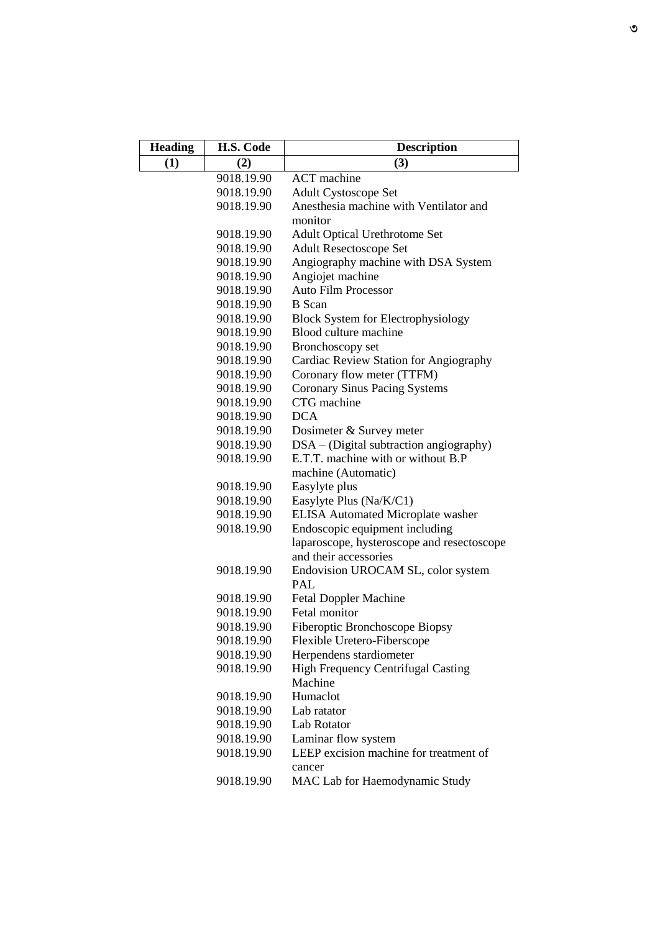| <b>Heading</b> | H.S. Code  | <b>Description</b>                         |
|----------------|------------|--------------------------------------------|
| (1)            | (2)        | (3)                                        |
|                | 9018.19.90 | <b>ACT</b> machine                         |
|                | 9018.19.90 | <b>Adult Cystoscope Set</b>                |
|                | 9018.19.90 | Anesthesia machine with Ventilator and     |
|                |            | monitor                                    |
|                | 9018.19.90 | <b>Adult Optical Urethrotome Set</b>       |
|                | 9018.19.90 | <b>Adult Resectoscope Set</b>              |
|                | 9018.19.90 | Angiography machine with DSA System        |
|                | 9018.19.90 | Angiojet machine                           |
|                | 9018.19.90 | <b>Auto Film Processor</b>                 |
|                | 9018.19.90 | <b>B</b> Scan                              |
|                | 9018.19.90 | <b>Block System for Electrophysiology</b>  |
|                | 9018.19.90 | Blood culture machine                      |
|                | 9018.19.90 | Bronchoscopy set                           |
|                | 9018.19.90 | Cardiac Review Station for Angiography     |
|                | 9018.19.90 | Coronary flow meter (TTFM)                 |
|                | 9018.19.90 | <b>Coronary Sinus Pacing Systems</b>       |
|                | 9018.19.90 | CTG machine                                |
|                | 9018.19.90 | <b>DCA</b>                                 |
|                | 9018.19.90 | Dosimeter & Survey meter                   |
|                | 9018.19.90 | $DSA - (Digital subtraction angiography)$  |
|                | 9018.19.90 | E.T.T. machine with or without B.P         |
|                |            | machine (Automatic)                        |
|                | 9018.19.90 | Easylyte plus                              |
|                | 9018.19.90 | Easylyte Plus (Na/K/C1)                    |
|                | 9018.19.90 | ELISA Automated Microplate washer          |
|                | 9018.19.90 | Endoscopic equipment including             |
|                |            | laparoscope, hysteroscope and resectoscope |
|                |            | and their accessories                      |
|                | 9018.19.90 | Endovision UROCAM SL, color system         |
|                |            | <b>PAL</b>                                 |
|                | 9018.19.90 | <b>Fetal Doppler Machine</b>               |
|                | 9018.19.90 | Fetal monitor                              |
|                | 9018.19.90 | Fiberoptic Bronchoscope Biopsy             |
|                | 9018.19.90 | Flexible Uretero-Fiberscope                |
|                | 9018.19.90 | Herpendens stardiometer                    |
|                | 9018.19.90 | High Frequency Centrifugal Casting         |
|                |            | Machine                                    |
|                | 9018.19.90 | Humaclot                                   |
|                | 9018.19.90 | Lab ratator                                |
|                | 9018.19.90 | Lab Rotator                                |
|                | 9018.19.90 | Laminar flow system                        |
|                | 9018.19.90 | LEEP excision machine for treatment of     |
|                |            | cancer                                     |
|                |            |                                            |
|                | 9018.19.90 | MAC Lab for Haemodynamic Study             |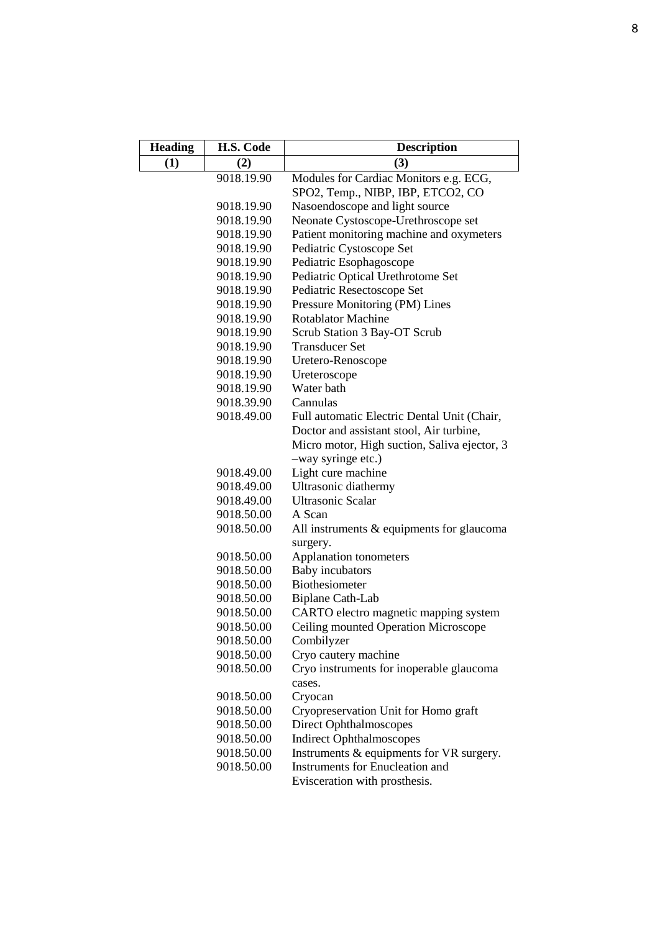| <b>Heading</b> | H.S. Code  | <b>Description</b>                           |  |  |  |
|----------------|------------|----------------------------------------------|--|--|--|
| (1)            | (2)        | (3)                                          |  |  |  |
|                | 9018.19.90 | Modules for Cardiac Monitors e.g. ECG,       |  |  |  |
|                |            | SPO2, Temp., NIBP, IBP, ETCO2, CO            |  |  |  |
|                | 9018.19.90 | Nasoendoscope and light source               |  |  |  |
|                | 9018.19.90 | Neonate Cystoscope-Urethroscope set          |  |  |  |
|                | 9018.19.90 | Patient monitoring machine and oxymeters     |  |  |  |
|                | 9018.19.90 | Pediatric Cystoscope Set                     |  |  |  |
|                | 9018.19.90 | Pediatric Esophagoscope                      |  |  |  |
|                | 9018.19.90 | Pediatric Optical Urethrotome Set            |  |  |  |
|                | 9018.19.90 | Pediatric Resectoscope Set                   |  |  |  |
|                | 9018.19.90 | Pressure Monitoring (PM) Lines               |  |  |  |
|                | 9018.19.90 | <b>Rotablator Machine</b>                    |  |  |  |
|                | 9018.19.90 | Scrub Station 3 Bay-OT Scrub                 |  |  |  |
|                | 9018.19.90 | <b>Transducer Set</b>                        |  |  |  |
|                | 9018.19.90 | Uretero-Renoscope                            |  |  |  |
|                | 9018.19.90 | Ureteroscope                                 |  |  |  |
|                | 9018.19.90 | Water bath                                   |  |  |  |
|                | 9018.39.90 | Cannulas                                     |  |  |  |
|                | 9018.49.00 | Full automatic Electric Dental Unit (Chair,  |  |  |  |
|                |            | Doctor and assistant stool, Air turbine,     |  |  |  |
|                |            | Micro motor, High suction, Saliva ejector, 3 |  |  |  |
|                |            | -way syringe etc.)                           |  |  |  |
|                | 9018.49.00 | Light cure machine                           |  |  |  |
|                | 9018.49.00 | Ultrasonic diathermy                         |  |  |  |
|                | 9018.49.00 | Ultrasonic Scalar                            |  |  |  |
|                | 9018.50.00 | A Scan                                       |  |  |  |
|                | 9018.50.00 | All instruments & equipments for glaucoma    |  |  |  |
|                |            | surgery.                                     |  |  |  |
|                | 9018.50.00 | Applanation tonometers                       |  |  |  |
|                | 9018.50.00 | <b>Baby</b> incubators                       |  |  |  |
|                | 9018.50.00 | Biothesiometer                               |  |  |  |
|                | 9018.50.00 | Biplane Cath-Lab                             |  |  |  |
|                | 9018.50.00 | CARTO electro magnetic mapping system        |  |  |  |
|                | 9018.50.00 | Ceiling mounted Operation Microscope         |  |  |  |
|                | 9018.50.00 | Combilyzer                                   |  |  |  |
|                | 9018.50.00 | Cryo cautery machine                         |  |  |  |
|                | 9018.50.00 | Cryo instruments for inoperable glaucoma     |  |  |  |
|                |            | cases.                                       |  |  |  |
|                | 9018.50.00 | Cryocan                                      |  |  |  |
|                | 9018.50.00 | Cryopreservation Unit for Homo graft         |  |  |  |
|                | 9018.50.00 | Direct Ophthalmoscopes                       |  |  |  |
|                | 9018.50.00 | <b>Indirect Ophthalmoscopes</b>              |  |  |  |
|                | 9018.50.00 | Instruments & equipments for VR surgery.     |  |  |  |
|                | 9018.50.00 | <b>Instruments for Enucleation and</b>       |  |  |  |
|                |            | Evisceration with prosthesis.                |  |  |  |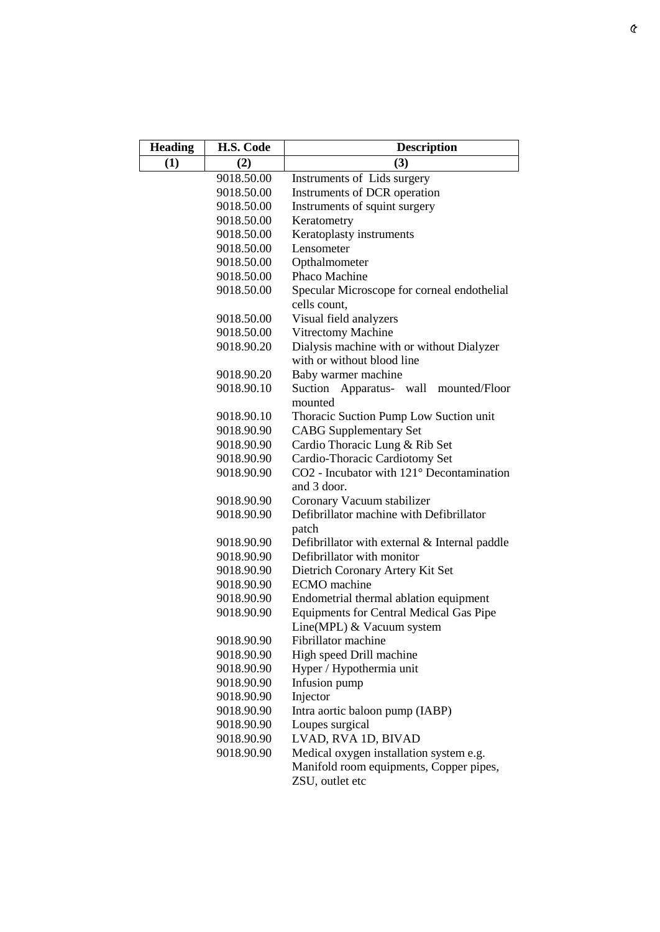| <b>Heading</b> | H.S. Code  | <b>Description</b>                                                          |  |  |  |
|----------------|------------|-----------------------------------------------------------------------------|--|--|--|
| (1)            | (2)        | (3)                                                                         |  |  |  |
|                | 9018.50.00 | Instruments of Lids surgery                                                 |  |  |  |
|                | 9018.50.00 | Instruments of DCR operation                                                |  |  |  |
|                | 9018.50.00 | Instruments of squint surgery                                               |  |  |  |
|                | 9018.50.00 | Keratometry                                                                 |  |  |  |
|                | 9018.50.00 | Keratoplasty instruments                                                    |  |  |  |
|                | 9018.50.00 | Lensometer                                                                  |  |  |  |
|                | 9018.50.00 | Opthalmometer                                                               |  |  |  |
|                | 9018.50.00 | Phaco Machine                                                               |  |  |  |
|                | 9018.50.00 | Specular Microscope for corneal endothelial                                 |  |  |  |
|                |            | cells count,                                                                |  |  |  |
|                | 9018.50.00 | Visual field analyzers                                                      |  |  |  |
|                | 9018.50.00 | Vitrectomy Machine                                                          |  |  |  |
|                | 9018.90.20 | Dialysis machine with or without Dialyzer<br>with or without blood line     |  |  |  |
|                | 9018.90.20 | Baby warmer machine                                                         |  |  |  |
|                | 9018.90.10 | Suction Apparatus- wall<br>mounted/Floor<br>mounted                         |  |  |  |
|                | 9018.90.10 | Thoracic Suction Pump Low Suction unit                                      |  |  |  |
|                | 9018.90.90 | <b>CABG</b> Supplementary Set                                               |  |  |  |
|                | 9018.90.90 | Cardio Thoracic Lung & Rib Set                                              |  |  |  |
|                | 9018.90.90 | Cardio-Thoracic Cardiotomy Set                                              |  |  |  |
|                | 9018.90.90 | CO2 - Incubator with 121° Decontamination<br>and 3 door.                    |  |  |  |
|                | 9018.90.90 | Coronary Vacuum stabilizer                                                  |  |  |  |
|                | 9018.90.90 | Defibrillator machine with Defibrillator                                    |  |  |  |
|                |            | patch                                                                       |  |  |  |
|                | 9018.90.90 | Defibrillator with external & Internal paddle                               |  |  |  |
|                | 9018.90.90 | Defibrillator with monitor                                                  |  |  |  |
|                | 9018.90.90 | Dietrich Coronary Artery Kit Set                                            |  |  |  |
|                | 9018.90.90 | <b>ECMO</b> machine                                                         |  |  |  |
|                | 9018.90.90 | Endometrial thermal ablation equipment                                      |  |  |  |
|                | 9018.90.90 | <b>Equipments for Central Medical Gas Pipe</b><br>Line(MPL) & Vacuum system |  |  |  |
|                | 9018.90.90 | Fibrillator machine                                                         |  |  |  |
|                | 9018.90.90 | High speed Drill machine                                                    |  |  |  |
|                | 9018.90.90 | Hyper / Hypothermia unit                                                    |  |  |  |
|                | 9018.90.90 | Infusion pump                                                               |  |  |  |
|                | 9018.90.90 | Injector                                                                    |  |  |  |
|                | 9018.90.90 | Intra aortic baloon pump (IABP)                                             |  |  |  |
|                | 9018.90.90 | Loupes surgical                                                             |  |  |  |
|                | 9018.90.90 | LVAD, RVA 1D, BIVAD                                                         |  |  |  |
|                | 9018.90.90 | Medical oxygen installation system e.g.                                     |  |  |  |
|                |            | Manifold room equipments, Copper pipes,                                     |  |  |  |
|                |            | ZSU, outlet etc                                                             |  |  |  |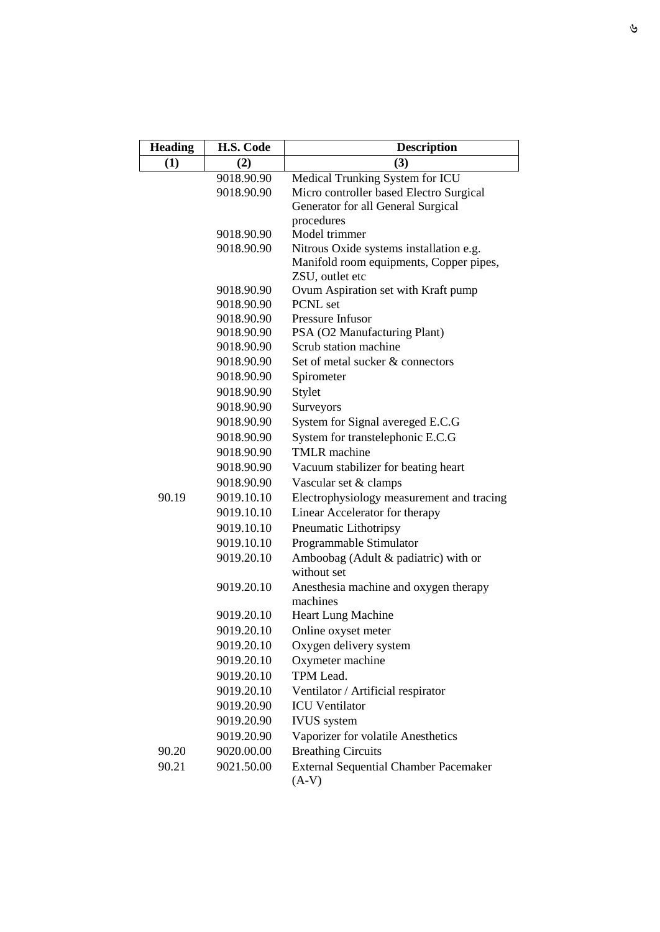| <b>Heading</b> | H.S. Code  | <b>Description</b>                                      |  |  |  |  |
|----------------|------------|---------------------------------------------------------|--|--|--|--|
| (1)            | (2)        | (3)                                                     |  |  |  |  |
|                | 9018.90.90 | Medical Trunking System for ICU                         |  |  |  |  |
|                | 9018.90.90 | Micro controller based Electro Surgical                 |  |  |  |  |
|                |            | Generator for all General Surgical                      |  |  |  |  |
|                |            | procedures                                              |  |  |  |  |
|                | 9018.90.90 | Model trimmer                                           |  |  |  |  |
|                | 9018.90.90 | Nitrous Oxide systems installation e.g.                 |  |  |  |  |
|                |            | Manifold room equipments, Copper pipes,                 |  |  |  |  |
|                | 9018.90.90 | ZSU, outlet etc<br>Ovum Aspiration set with Kraft pump  |  |  |  |  |
|                | 9018.90.90 | PCNL set                                                |  |  |  |  |
|                | 9018.90.90 | Pressure Infusor                                        |  |  |  |  |
|                | 9018.90.90 | PSA (O2 Manufacturing Plant)                            |  |  |  |  |
|                | 9018.90.90 | Scrub station machine                                   |  |  |  |  |
|                | 9018.90.90 | Set of metal sucker & connectors                        |  |  |  |  |
|                | 9018.90.90 | Spirometer                                              |  |  |  |  |
|                | 9018.90.90 | Stylet                                                  |  |  |  |  |
|                | 9018.90.90 | Surveyors                                               |  |  |  |  |
|                | 9018.90.90 | System for Signal avereged E.C.G                        |  |  |  |  |
|                | 9018.90.90 | System for transtelephonic E.C.G                        |  |  |  |  |
|                | 9018.90.90 | <b>TMLR</b> machine                                     |  |  |  |  |
|                | 9018.90.90 | Vacuum stabilizer for beating heart                     |  |  |  |  |
|                | 9018.90.90 | Vascular set & clamps                                   |  |  |  |  |
| 90.19          | 9019.10.10 | Electrophysiology measurement and tracing               |  |  |  |  |
|                | 9019.10.10 | Linear Accelerator for therapy                          |  |  |  |  |
|                | 9019.10.10 | Pneumatic Lithotripsy                                   |  |  |  |  |
|                | 9019.10.10 | Programmable Stimulator                                 |  |  |  |  |
|                | 9019.20.10 | Amboobag (Adult & padiatric) with or                    |  |  |  |  |
|                |            | without set                                             |  |  |  |  |
|                | 9019.20.10 | Anesthesia machine and oxygen therapy                   |  |  |  |  |
|                |            | machines                                                |  |  |  |  |
|                | 9019.20.10 | <b>Heart Lung Machine</b>                               |  |  |  |  |
|                | 9019.20.10 | Online oxyset meter                                     |  |  |  |  |
|                | 9019.20.10 | Oxygen delivery system                                  |  |  |  |  |
|                | 9019.20.10 | Oxymeter machine                                        |  |  |  |  |
|                | 9019.20.10 | TPM Lead.                                               |  |  |  |  |
|                | 9019.20.10 | Ventilator / Artificial respirator                      |  |  |  |  |
|                | 9019.20.90 | <b>ICU</b> Ventilator                                   |  |  |  |  |
|                | 9019.20.90 | <b>IVUS</b> system                                      |  |  |  |  |
|                | 9019.20.90 | Vaporizer for volatile Anesthetics                      |  |  |  |  |
| 90.20          | 9020.00.00 | <b>Breathing Circuits</b>                               |  |  |  |  |
| 90.21          | 9021.50.00 | <b>External Sequential Chamber Pacemaker</b><br>$(A-V)$ |  |  |  |  |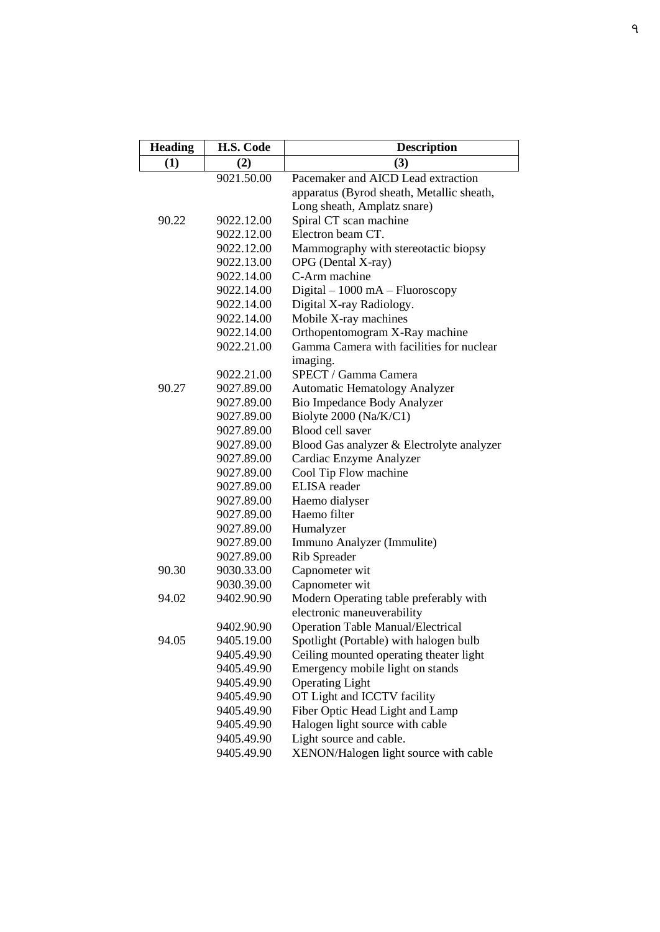| <b>Heading</b> | H.S. Code  | <b>Description</b>                        |  |  |  |
|----------------|------------|-------------------------------------------|--|--|--|
| (1)            | (2)        | (3)                                       |  |  |  |
|                | 9021.50.00 | Pacemaker and AICD Lead extraction        |  |  |  |
|                |            | apparatus (Byrod sheath, Metallic sheath, |  |  |  |
|                |            | Long sheath, Amplatz snare)               |  |  |  |
| 90.22          | 9022.12.00 | Spiral CT scan machine                    |  |  |  |
|                | 9022.12.00 | Electron beam CT.                         |  |  |  |
|                | 9022.12.00 | Mammography with stereotactic biopsy      |  |  |  |
|                | 9022.13.00 | OPG (Dental X-ray)                        |  |  |  |
|                | 9022.14.00 | C-Arm machine                             |  |  |  |
|                | 9022.14.00 | Digital - 1000 mA - Fluoroscopy           |  |  |  |
|                | 9022.14.00 | Digital X-ray Radiology.                  |  |  |  |
|                | 9022.14.00 | Mobile X-ray machines                     |  |  |  |
|                | 9022.14.00 | Orthopentomogram X-Ray machine            |  |  |  |
|                | 9022.21.00 | Gamma Camera with facilities for nuclear  |  |  |  |
|                |            | imaging.                                  |  |  |  |
|                | 9022.21.00 | SPECT / Gamma Camera                      |  |  |  |
| 90.27          | 9027.89.00 | <b>Automatic Hematology Analyzer</b>      |  |  |  |
|                | 9027.89.00 | Bio Impedance Body Analyzer               |  |  |  |
|                | 9027.89.00 | Biolyte 2000 (Na/K/C1)                    |  |  |  |
|                | 9027.89.00 | Blood cell saver                          |  |  |  |
|                | 9027.89.00 | Blood Gas analyzer & Electrolyte analyzer |  |  |  |
|                | 9027.89.00 | Cardiac Enzyme Analyzer                   |  |  |  |
|                | 9027.89.00 | Cool Tip Flow machine                     |  |  |  |
|                | 9027.89.00 | <b>ELISA</b> reader                       |  |  |  |
|                | 9027.89.00 | Haemo dialyser                            |  |  |  |
|                | 9027.89.00 | Haemo filter                              |  |  |  |
|                | 9027.89.00 | Humalyzer                                 |  |  |  |
|                | 9027.89.00 | Immuno Analyzer (Immulite)                |  |  |  |
|                | 9027.89.00 | Rib Spreader                              |  |  |  |
| 90.30          | 9030.33.00 | Capnometer wit                            |  |  |  |
|                | 9030.39.00 | Capnometer wit                            |  |  |  |
| 94.02          | 9402.90.90 | Modern Operating table preferably with    |  |  |  |
|                |            | electronic maneuverability                |  |  |  |
|                | 9402.90.90 | <b>Operation Table Manual/Electrical</b>  |  |  |  |
| 94.05          | 9405.19.00 | Spotlight (Portable) with halogen bulb    |  |  |  |
|                | 9405.49.90 | Ceiling mounted operating theater light   |  |  |  |
|                | 9405.49.90 | Emergency mobile light on stands          |  |  |  |
|                | 9405.49.90 | <b>Operating Light</b>                    |  |  |  |
|                | 9405.49.90 | OT Light and ICCTV facility               |  |  |  |
|                | 9405.49.90 | Fiber Optic Head Light and Lamp           |  |  |  |
|                | 9405.49.90 | Halogen light source with cable           |  |  |  |
|                | 9405.49.90 | Light source and cable.                   |  |  |  |
|                | 9405.49.90 | XENON/Halogen light source with cable     |  |  |  |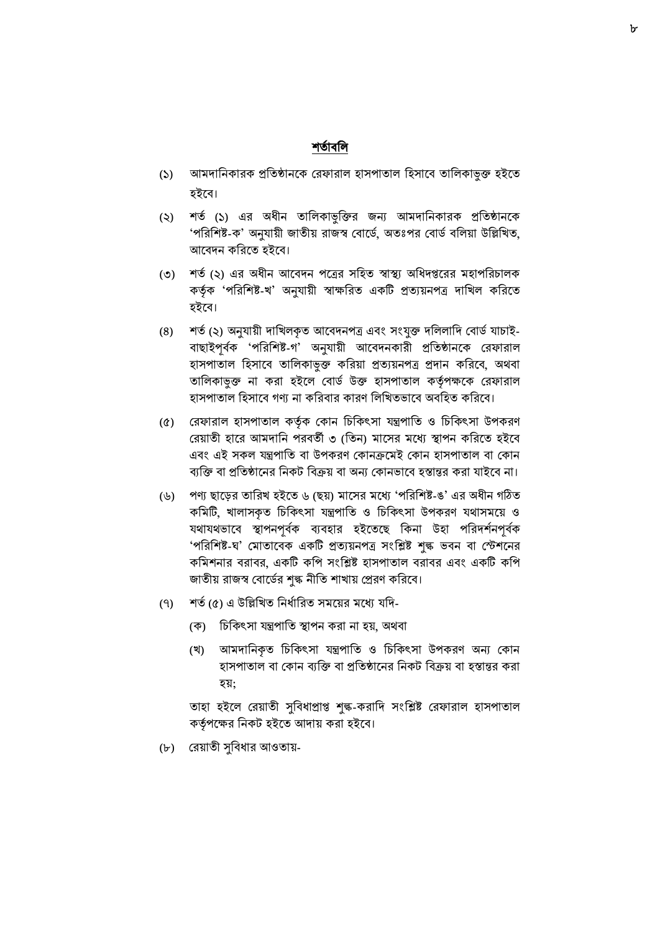### শতাতবনি

- (১) আমদানিকারক প্রতিষ্ঠানকে রেফারাল হাসপাতাল হিসাবে তালিকাভুক্ত হইতে হইবে।
- (২) শতথ (১) এর অধীন তাবলকাভুবক্তর জন্য আমোবনকারক প্রবতষ্ঠানদক 'পরিশিষ্ট-ক' অনুযায়ী জাতীয় রাজস্ব বোর্ডে, অতঃপর বোর্ড বলিয়া উল্লিখিত, আবেদন করিতে হইবে।
- (৩) শর্ত (২) এর অধীন আবেদন পত্রের সহিত স্বাস্থ্য অধিদপ্তরের মহাপরিচালক কর্তৃক 'পরিশিষ্ট-খ' অনুযায়ী স্বাক্ষরিত একটি প্রত্যয়নপত্র দাখিল করিতে িইদব।
- (৪) শর্ত (২) অনুযায়ী দাখিলকৃত আবেদনপত্র এবং সংযুক্ত দলিলাদি বোর্ড যাচাই-বাছাইপূৰ্বক 'পরিশিষ্ট-গ' অনুযায়ী আবেদনকারী প্রতিষ্ঠানকে রেফারাল িাসপাতাল বিসাদব তাবলকাভুক্ত কবরয়া প্রতযয়নপে প্রোন কবরদব, অর্বা তালিকাভুক্ত না করা হইলে বোর্ড উক্ত হাসপাতাল কর্তৃপক্ষকে রেফারাল হাসপাতাল হিসাবে গণ্য না করিবার কারণ লিখিতভাবে অবহিত করিবে।
- (৫) বরফারাল িাসপাতাল কর্তকথ বকান বিবকৎসা ন্ত্রপাবত ও বিবকৎসা উপকরণ রেয়াতী হারে আমদানি পরবর্তী ৩ (তিন) মাসের মধ্যে স্থাপন করিতে হইবে এবং এই সকল যন্ত্রপাতি বা উপকরণ কোনক্রমেই কোন হাসপাতাল বা কোন ব্যক্তি বা প্রতিষ্ঠানের নিকট বিক্রয় বা অন্য কোনভাবে হস্তান্তর করা যাইবে না।
- (৬) পণ্য ছাদের তাবরখ িইদত ৬ (ছয়) মাদসর মদে 'পবরবশষ্ট-ঙ' এর অধীন গঠিত কবমটি, খালাসকৃত বিবকৎসা ন্ত্রপাবত ও বিবকৎসা উপকরণ র্াসমদয় ও যথাযথভাবে স্থাপনপূর্বক ব্যবহার হইতেছে কিনা উহা পরিদর্শনপূর্বক 'পরিশিষ্ট-ঘ' মোতাবেক একটি প্রত্যয়নপত্র সংশ্লিষ্ট শুল্ক ভবন বা স্টেশনের কবমশনার বরাবর, একটি কবপ সাংবিষ্ট িাসপাতাল বরাবর এবং একটি কবপ জাতীয় রাজস্ব বোর্ডের শঙ্ক নীতি শাখায় প্রেরণ করিবে।
- (৭) শর্ত (৫) এ উল্লিখিত নির্ধারিত সময়ের মধ্যে যদি-
	- (ক) চিকিৎসা যন্ত্রপাতি স্থাপন করা না হয়, অথবা
	- (খ) আমোবনকৃত বিবকৎসা ন্ত্রপাবত ও বিবকৎসা উপকরণ অন্য বকান হাসপাতাল বা কোন ব্যক্তি বা প্রতিষ্ঠানের নিকট বিক্রয় বা হস্তান্তর করা িয়;

তাহা হইলে রেয়াতী সুবিধাপ্রাপ্ত শুল্ক-করাদি সংশ্লিষ্ট রেফারাল হাসপাতাল কর্তৃপক্ষের নিকট হইতে আদায় করা হইবে।

(৮) বরয়াতী সুববধার আওতায়-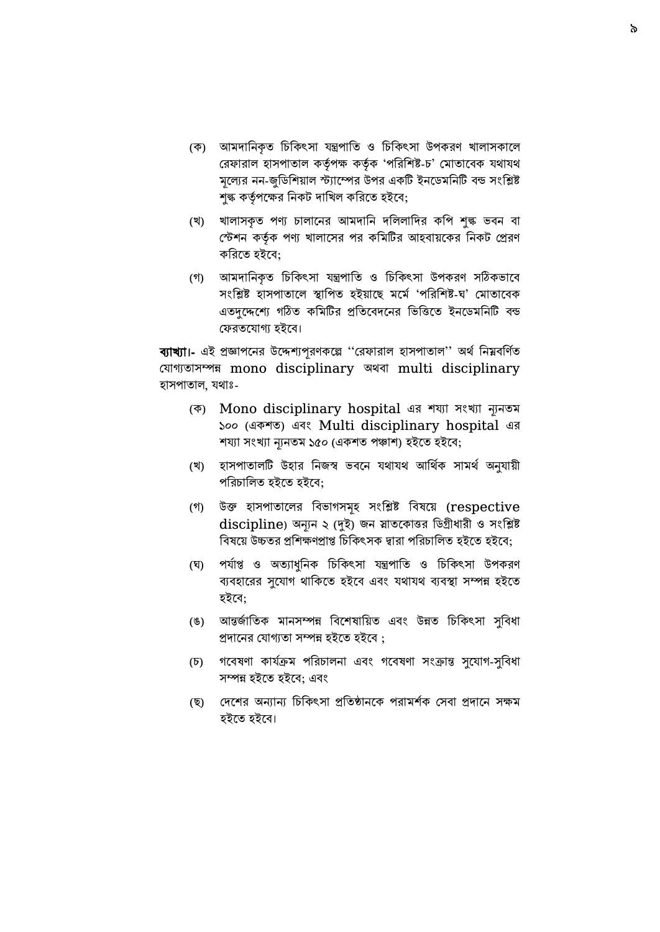- (ক) আমোবনকৃত বিবকৎসা ন্ত্রপাবত ও বিবকৎসা উপকরণ খালাসকাদল রেফারাল হাসপাতাল কর্তৃপক্ষ কর্তৃক 'পরিশিষ্ট-চ' মোতাবেক যথাযথ মূদল্যর নন-জুবডবশয়াল েযাদম্পর উপর একটি ইনদডমবনটি বন্ড সাংবিষ্ট শুল্ক কর্তৃপক্ষের নিকট দাখিল করিতে হইবে;
- (খ) খালাসকৃত পণ্য িালাদনর আমোবন েবললাবের কবপ শুল্ক ভ্বন বা বেশন কর্তকথ পণ্য খালাদসর পর কবমটির আিবায়দকর বনকট বপ্ররণ করিতে হইবে:
- (গ) আমোবনকৃত বিবকৎসা ন্ত্রপাবত ও বিবকৎসা উপকরণ সঠিকভ্াদব সংশ্লিষ্ট হাসপাতালে স্থাপিত হইয়াছে মৰ্মে 'পরিশিষ্ট-ঘ' মোতাবেক এতদুদেদে গঠিত কবমটির প্রবতদবেদনর বভ্বত্তদত ইনদডমবনটি বন্ড ফেরতযোগ্য হইবে।

ব্যাখ্যা।- এই প্রজ্ঞাপনের উদ্দেশ্যপূরণকল্লে ''রেফারাল হাসপাতাল'' অর্থ নিম্নবর্ণিত ব াগ্যতাসম্পন্ন mono disciplinary অর্বা multi disciplinary হাসপাতাল, যথাঃ-

- (ক) Mono disciplinary hospital এর শয্যা সাংখ্যা ন্যযনতম ১০০ (একশত) এবাং Multi disciplinary hospital এর শয্যা সংখ্যা ন্যনতম ১৫০ (একশত পঞ্চাশ) হইতে হইবে;
- (খ) হাসপাতালটি উহার নিজস্ব ভবনে যথাযথ আর্থিক সামর্থ অনুযায়ী পরিচালিত হইতে হইবে;
- (গ) উক্ত িাসপাতাদলর ববভ্াগসমূি সাংবিষ্ট ববষদয় (respective discipline) অন্যযন ২ (দুই) জন স্নাতদকাত্তর বডগ্রীধারী ও সাংবিষ্ট বিষয়ে উচ্চতর প্রশিক্ষণপ্রাপ্ত চিকিৎসক দ্বারা পরিচালিত হইতে হইবে;
- (ঘ) পর্যাপ্ত ও অত্যাধুনিক চিকিৎসা যন্ত্রপাতি ও চিকিৎসা উপকরণ ব্যবহারের সুযোগ থাকিতে হইবে এবং যথাযথ ব্যবস্থা সম্পন্ন হইতে হইবে;
- (ঙ) আন্তর্জাতিক মানসম্পন্ন বিশেষায়িত এবং উন্নত চিকিৎসা সুবিধা প্রদানের যোগ্যতা সম্পন্ন হইতে হইবে ;
- (চ) গবেষণা কার্যক্রম পরিচালনা এবং গবেষণা সংক্রান্ত সুযোগ-সুবিধা সম্পন্ন হইতে হইবে; এবং
- (ছ) বেদশর অন্যান্য বিবকৎসা প্রবতষ্ঠানদক পরামশকথ বসবা প্রোদন সক্ষম হইতে হইবে।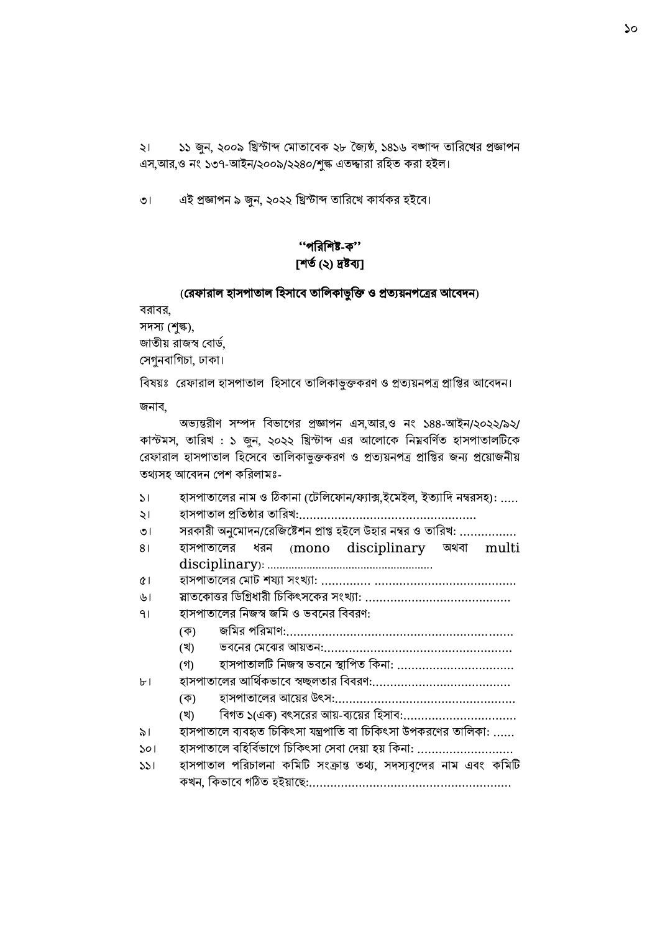২। ১১ জুন, ২০০৯ বিোব্দ বমাতাদবক ২৮ জ্জযষ্ঠ, ১৪১৬ বঙ্গাব্দ তাবরদখর প্রজ্ঞাপন এস,আর,ও নং ১৩৭-আইন/২০০৯/২২৪০/শঙ্ক এতদ্দ্বারা রহিত করা হইল।

৩। এই প্রজ্ঞাপন ৯ জুন, ২০২২ খ্রিস্টাব্দ তারিখে কার্যকর হইবে।

# ''পবরবশষ্ট-ক'' [শত থ(২) দ্রষ্টব্য]

#### (বরফারাল িাসপাতাল বিসাদব তাবলকাভুবক্ত ও প্রতযয়নপদের আদবেন)

বরাবর, সেস্য (শুল্ক),

জাতীয় রাজস্ব বোর্ড, বসগুনবাবগিা, ঢাকা।

বিষয়ঃ রেফারাল হাসপাতাল হিসাবে তালিকাভুক্তকরণ ও প্রত্যয়নপত্র প্রাপ্তির আবেদন।

জনাব,

অভ্যন্তরীণ সম্পদ বিভাগের প্রজ্ঞাপন এস,আর,ও নং ১৪৪-আইন/২০২২/৯২/ কাস্টমস, তারিখ : ১ জুন, ২০২২ খ্রিস্টাব্দ এর আলোকে নিম্নবর্ণিত হাসপাতালটিকে রেফারাল হাসপাতাল হিসেবে তালিকাভুক্তকরণ ও প্রত্যয়নপত্র প্রাপ্তির জন্য প্রয়োজনীয় তথ্যসি আদবেন বপশ কবরলামঃ-

১। হাসপাতালের নাম ও ঠিকানা (টেলিফোন/ফ্যাক্স,ইমেইল, ইত্যাদি নম্বরসহ): .....

২। িাসপাতাল প্রবতষ্ঠার তাবরখ:..................................................

৩। সরকারী অনুমোদন/রেজিষ্টেশন প্রাপ্ত হইলে উহার নম্বর ও তারিখ: ................

৪। হাসপাতালের ধরন (mono disciplinary অথবা multi disciplinary): .......................................................

৫। িাসপাতাদলর বমাট শয্যা সাংখ্যা: .............. ........................................

৬। স্নাতদকাত্তর বডবগ্রধারী বিবকৎসদকর সাংখ্যা: .........................................

৭। হাসপাতালের নিজস্ব জমি ও ভবনের বিবরণ:

- (ক) জবমর পবরমাণ:................................................................
- (খ) ভ্বদনর বমদের আয়তন:.....................................................

(গ) হাসপাতালটি নিজস্ব ভবনে স্থাপিত কিনা: .................................

৮। িাসপাতাদলর আবর্কথ ভ্াদব স্বচ্ছলতার বববরণ:.......................................

- (ক) িাসপাতাদলর আদয়র উৎস:...................................................
- (খ) ববগত ১(এক) বৎসদরর আয়-ব্যদয়র বিসাব:................................

৯। হাসপাতালে ব্যবহৃত চিকিৎসা যন্ত্রপাতি বা চিকিৎসা উপকরণের তালিকা: ......

- ১০। হাসপাতালে বহির্বিভাগে চিকিৎসা সেবা দেয়া হয় কিনা: ............................
- ১১। হাসপাতাল পরিচালনা কমিটি সংক্রান্ত তথ্য, সদস্যবৃন্দের নাম এবং কমিটি কখন, বকভ্াদব গঠিত িইয়াদছ:.........................................................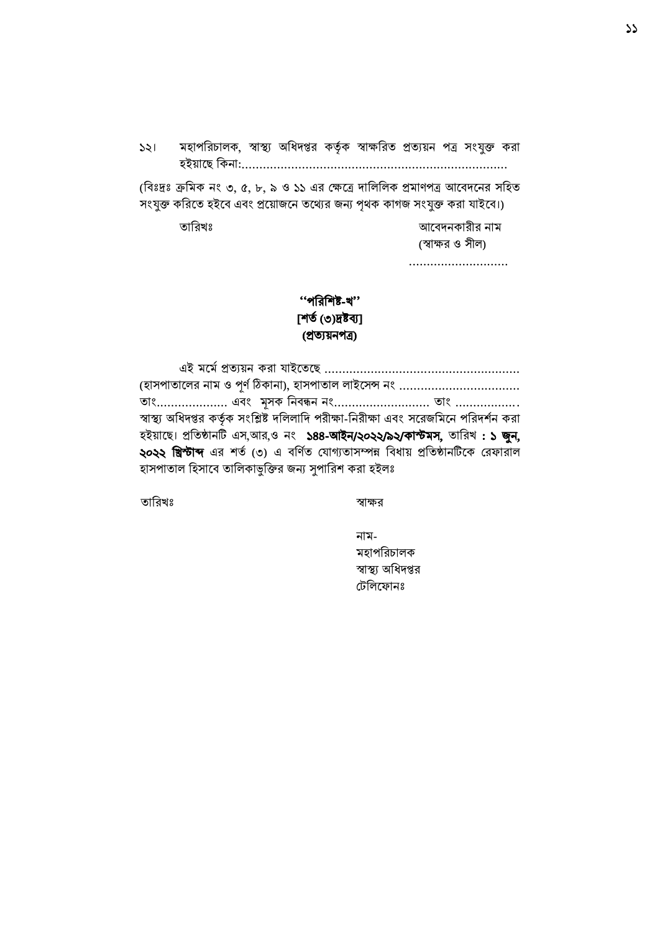১২। মহাপরিচালক, স্বাস্থ্য অধিদপ্তর কর্তৃক স্বাক্ষরিত প্রত্যয়ন পত্র সংযুক্ত করা িইয়াদছ বকনা:...........................................................................

(বিঃদ্রঃ ক্রমিক নং ৩, ৫, ৮, ৯ ও ১১ এর ক্ষেত্রে দালিলিক প্রমাণপত্র আবেদনের সহিত সংযুক্ত করিতে হইবে এবং প্রয়োজনে তথ্যের জন্য পৃথক কাগজ সংযুক্ত করা যাইবে।)

তাবরখঃ আদবেনকারীর নাম (স্বাক্ষর ও সীল)

............................

## ''পবরবশষ্ট-খ'' [শর্ ত(৩)দ্রষ্টব্য] (প্রতযয়নপে)

এই মদমথপ্রতযয়ন করা াইদতদছ ....................................................... (হাসপাতালের নাম ও পূর্ণ ঠিকানা), হাসপাতাল লাইসেন্স নং .................................. তাাং.................... এবাং মূসক বনবন্ধন নাং........................... তাাং .................. স্বাস্থ্য অধিদপ্তর কর্তৃক সংশ্লিষ্ট দলিলাদি পরীক্ষা-নিরীক্ষা এবং সরেজমিনে পরিদর্শন করা িইয়াদছ। প্রবতষ্ঠানটি এস,আর,ও নং ১৪৪-আইন/২০২২/৯২/কাস্টমস, তাবরখ : ১ জুন, ২০২২ **খ্রিস্টাব্দ** এর শর্ত (৩) এ বর্ণিত যোগ্যতাসম্পন্ন বিধায় প্রতিষ্ঠানটিকে রেফারাল হাসপাতাল হিসাবে তালিকাভুক্তির জন্য সুপারিশ করা হইলঃ

তাবরখঃ স্বাক্ষর

নাম-মহাপরিচালক স্বাস্থ্য অবধেপ্তর বটবলদফানঃ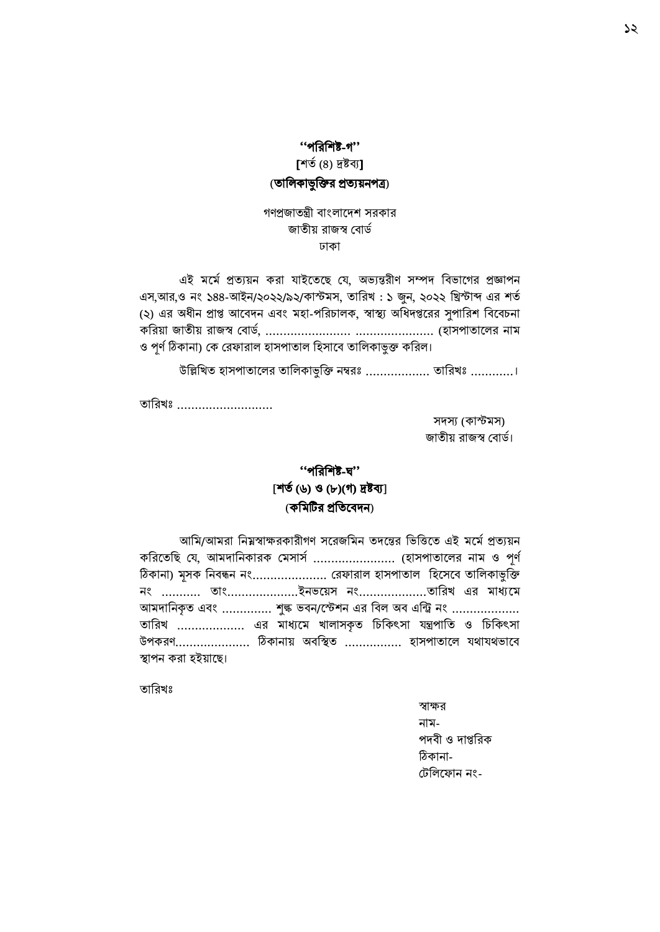## ''পবরবশষ্ট-গ''

[শৰ্ত (8) দ্রষ্টব্য]

## (তালিকাভুক্তির প্রত্যয়নপত্র)

গণপ্রজাতন্ত্রী বাংলাদেশ সরকার যাতীয় রাযস্ব ববার্ত ঢাকা

এই মর্মে প্রত্যয়ন করা যাইতেছে যে, অভ্যন্তরীণ সম্পদ বিভাগের প্রজ্ঞাপন এস,আর,ও নং ১৪৪-আইন/২০২২/৯২/কাস্টমস, তারিখ : ১ জুন, ২০২২ খ্রিস্টাব্দ এর শর্ত (২) এর অধীন প্রাপ্ত আবেদন এবং মহা-পরিচালক, স্বাস্থ্য অধিদপ্তরের সুপারিশ বিবেচনা কবরয়া জাতীয় রাজস্ব ববাড,থ ........................ ...................... (িাসপাতাদলর নাম ও পূর্ণ ঠিকানা) কে রেফারাল হাসপাতাল হিসাবে তালিকাভুক্ত করিল।

উল্লিখিত হাসপাতালের তালিকাভুক্তি নম্বরঃ .................. তারিখঃ ...........।

তারিখঃ ..........................

সেস্য (কাস্টমস) জাতীয় রাজস্ব বোর্ড।

# ''পবরবশষ্ট-ঘ'' [শত থ(৬) ও (৮)(গ) দ্রষ্টব্য] (কবমটির প্রবতদবেন)

|                     |  |  |  | আমি/আমরা নিম্নস্বাক্ষরকারীগণ সরেজমিন তদন্তের ভিত্তিতে এই মর্মে প্রত্যয়ন |  |
|---------------------|--|--|--|--------------------------------------------------------------------------|--|
|                     |  |  |  | করিতেছি যে, আমদানিকারক মেসার্স  (হাসপাতালের নাম ও পূর্ণ                  |  |
|                     |  |  |  | ঠিকানা) মূসক নিবন্ধন নং রেফারাল হাসপাতাল হিসেবে তালিকাভুক্তি             |  |
|                     |  |  |  |                                                                          |  |
|                     |  |  |  | আমদানিকৃত এবং  শৃঙ্ক ভবন/স্টেশন এর বিল অব এন্ট্রি নং                     |  |
|                     |  |  |  | তারিখ  এর মাধ্যমে খালাসকৃত চিকিৎসা যন্ত্রপাতি ও চিকিৎসা                  |  |
|                     |  |  |  | উপকরণ ঠিকানায় অবস্থিত  হাসপাতালে যথাযথভাবে                              |  |
| স্থাপন করা হইয়াছে। |  |  |  |                                                                          |  |

তাবরখঃ

স্বাক্ষর নাম-পেবী ও োপ্তবরক ঠিকানা- টেলিফোন নং-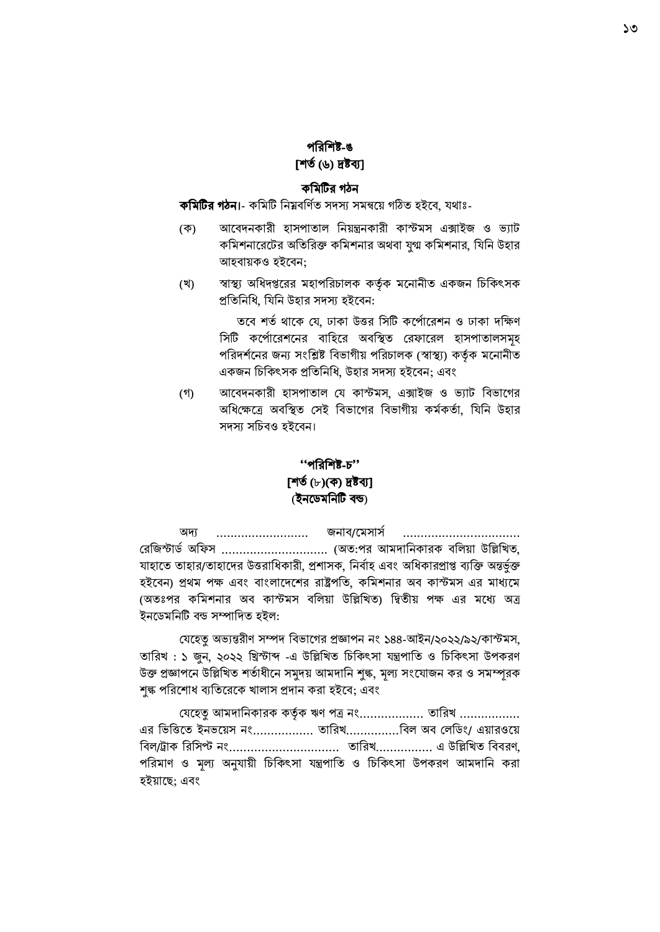## পবরবশষ্ট-ঙ [শত থ(৬) দ্রষ্টব্য]

#### কবমটির গঠন

কমিটির গঠন।- কমিটি নিম্নবর্ণিত সদস্য সমন্বয়ে গঠিত হইবে, যথাঃ-

- (ক) আদবেনকারী িাসপাতাল বনয়ন্ত্রনকারী কােমস এক্সাইজ ও ভ্যাট কমিশনারেটের অতিরিক্ত কমিশনার অথবা যুগ্ম কমিশনার, যিনি উহার আহবায়কও হইবেন:
- (খ) স্বাস্থ্য অধিদপ্তরের মহাপরিচালক কর্তৃক মনোনীত একজন চিকিৎসক প্রতিনিধি, যিনি উহার সদস্য হইবেন:

তবে শর্ত থাকে যে, ঢাকা উত্তর সিটি কর্পোরেশন ও ঢাকা দক্ষিণ সিটি কর্পোরেশনের বাহিরে অবস্থিত রেফারেল হাসপাতালসমূহ পরিদর্শনের জন্য সংশ্লিষ্ট বিভাগীয় পরিচালক (স্বাস্থ্য) কর্তৃক মনোনীত একজন চিকিৎসক প্রতিনিধি, উহার সদস্য হইবেন; এবং

(গ) আবেদনকারী হাসপাতাল যে কাস্টমস, এক্সাইজ ও ভ্যাট বিভাগের অধিক্ষেত্রে অবস্থিত সেই বিভাগের বিভাগীয় কর্মকর্তা, যিনি উহার সদস্য সচিবও হইবেন।

## ''পবরবশষ্ট-ি'' [শত থ(৮)(ক) দ্রষ্টব্য] (ইনদডমবনটি বন্ড)

অদ্য .......................... জনাব/দমসাসথ ................................. রেজিস্টার্ড অফিস ............................... (অত:পর আমদানিকারক বলিয়া উল্লিখিত, যাহাতে তাহার/তাহাদের উত্তরাধিকারী, প্রশাসক, নির্বাহ এবং অধিকারপ্রাপ্ত ব্যক্তি অন্তর্ভুক্ত হইবেন) প্রথম পক্ষ এবং বাংলাদেশের রাষ্ট্রপতি, কমিশনার অব কাস্টমস এর মাধ্যমে (অতঃপর কবমশনার অব কােমস ববলয়া উবিবখত) ব্তীয় পক্ষ এর মদে অে ইনডেমনিটি বন্ড সম্পাদিত হইল:

বেহেত অভ্যন্তরীণ সম্পদ বিভাগের প্রজ্ঞাপন নং ১৪৪-আইন/২০২২/৯২/কাস্টমস, তাবরখ : ১ জুন, ২০২২ নিস্টাব্দ -এ উবিবখত বিবকৎসা ন্ত্রপাবত ও বিবকৎসা উপকরণ উক্ত প্রজ্ঞাপনে উল্লিখিত শর্তাধীনে সমুদয় আমদানি শুল্ক, মূল্য সংযোজন কর ও সমম্পূরক শুল্ক পরিশোধ ব্যতিরেকে খালাস প্রদান করা হইবে; এবং

যেহেতু আমদানিকারক কর্তৃক ঋণ পত্র নং................. তারিখ ................. এর ভিত্তিতে ইনভয়েস নং................ তারিখ...............বিল অব লেডিং/ এয়ারওয়ে ববল/ট্রাক বরবসপ্ট নাং............................... তাবরখ................ এ উবিবখত বববরণ, পরিমাণ ও মূল্য অনুযায়ী চিকিৎসা যন্ত্রপাতি ও চিকিৎসা উপকরণ আমদানি করা হইয়াছে: এবং